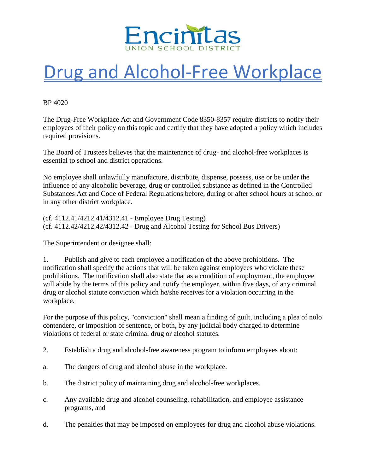

## Drug and Alcohol-Free Workplace

BP 4020

The Drug-Free Workplace Act and Government Code 8350-8357 require districts to notify their employees of their policy on this topic and certify that they have adopted a policy which includes required provisions.

The Board of Trustees believes that the maintenance of drug- and alcohol-free workplaces is essential to school and district operations.

No employee shall unlawfully manufacture, distribute, dispense, possess, use or be under the influence of any alcoholic beverage, drug or controlled substance as defined in the Controlled Substances Act and Code of Federal Regulations before, during or after school hours at school or in any other district workplace.

(cf. 4112.41/4212.41/4312.41 - Employee Drug Testing) (cf. 4112.42/4212.42/4312.42 - Drug and Alcohol Testing for School Bus Drivers)

The Superintendent or designee shall:

1. Publish and give to each employee a notification of the above prohibitions. The notification shall specify the actions that will be taken against employees who violate these prohibitions. The notification shall also state that as a condition of employment, the employee will abide by the terms of this policy and notify the employer, within five days, of any criminal drug or alcohol statute conviction which he/she receives for a violation occurring in the workplace.

For the purpose of this policy, "conviction" shall mean a finding of guilt, including a plea of nolo contendere, or imposition of sentence, or both, by any judicial body charged to determine violations of federal or state criminal drug or alcohol statutes.

- 2. Establish a drug and alcohol-free awareness program to inform employees about:
- a. The dangers of drug and alcohol abuse in the workplace.
- b. The district policy of maintaining drug and alcohol-free workplaces.
- c. Any available drug and alcohol counseling, rehabilitation, and employee assistance programs, and
- d. The penalties that may be imposed on employees for drug and alcohol abuse violations.